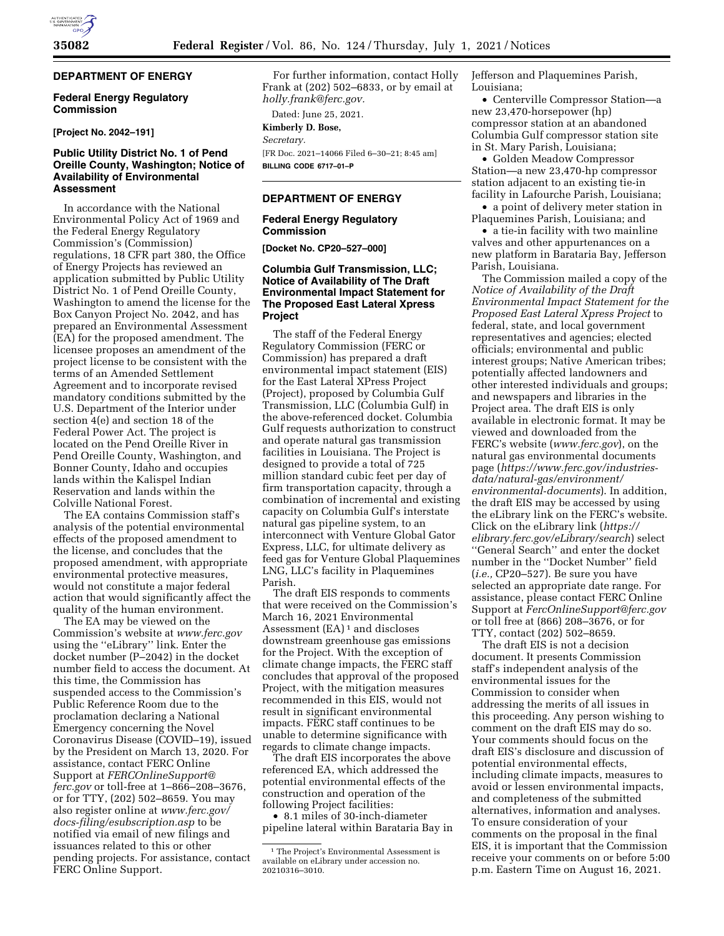## **DEPARTMENT OF ENERGY**

#### **Federal Energy Regulatory Commission**

#### **[Project No. 2042–191]**

## **Public Utility District No. 1 of Pend Oreille County, Washington; Notice of Availability of Environmental Assessment**

In accordance with the National Environmental Policy Act of 1969 and the Federal Energy Regulatory Commission's (Commission) regulations, 18 CFR part 380, the Office of Energy Projects has reviewed an application submitted by Public Utility District No. 1 of Pend Oreille County, Washington to amend the license for the Box Canyon Project No. 2042, and has prepared an Environmental Assessment (EA) for the proposed amendment. The licensee proposes an amendment of the project license to be consistent with the terms of an Amended Settlement Agreement and to incorporate revised mandatory conditions submitted by the U.S. Department of the Interior under section 4(e) and section 18 of the Federal Power Act. The project is located on the Pend Oreille River in Pend Oreille County, Washington, and Bonner County, Idaho and occupies lands within the Kalispel Indian Reservation and lands within the Colville National Forest.

The EA contains Commission staff's analysis of the potential environmental effects of the proposed amendment to the license, and concludes that the proposed amendment, with appropriate environmental protective measures, would not constitute a major federal action that would significantly affect the quality of the human environment.

The EA may be viewed on the Commission's website at *[www.ferc.gov](http://www.ferc.gov)*  using the ''eLibrary'' link. Enter the docket number (P–2042) in the docket number field to access the document. At this time, the Commission has suspended access to the Commission's Public Reference Room due to the proclamation declaring a National Emergency concerning the Novel Coronavirus Disease (COVID–19), issued by the President on March 13, 2020. For assistance, contact FERC Online Support at *[FERCOnlineSupport@](mailto:FERCOnlineSupport@ferc.gov) [ferc.gov](mailto:FERCOnlineSupport@ferc.gov)* or toll-free at 1–866–208–3676, or for TTY, (202) 502–8659. You may also register online at *[www.ferc.gov/](http://www.ferc.gov/docs-filing/esubscription.asp)  [docs-filing/esubscription.asp](http://www.ferc.gov/docs-filing/esubscription.asp)* to be notified via email of new filings and issuances related to this or other pending projects. For assistance, contact FERC Online Support.

For further information, contact Holly Frank at (202) 502–6833, or by email at *[holly.frank@ferc.gov.](mailto:holly.frank@ferc.gov)* 

# Dated: June 25, 2021.

**Kimberly D. Bose,**  *Secretary.* 

[FR Doc. 2021–14066 Filed 6–30–21; 8:45 am] **BILLING CODE 6717–01–P** 

#### **DEPARTMENT OF ENERGY**

#### **Federal Energy Regulatory Commission**

**[Docket No. CP20–527–000]** 

#### **Columbia Gulf Transmission, LLC; Notice of Availability of The Draft Environmental Impact Statement for The Proposed East Lateral Xpress Project**

The staff of the Federal Energy Regulatory Commission (FERC or Commission) has prepared a draft environmental impact statement (EIS) for the East Lateral XPress Project (Project), proposed by Columbia Gulf Transmission, LLC (Columbia Gulf) in the above-referenced docket. Columbia Gulf requests authorization to construct and operate natural gas transmission facilities in Louisiana. The Project is designed to provide a total of 725 million standard cubic feet per day of firm transportation capacity, through a combination of incremental and existing capacity on Columbia Gulf's interstate natural gas pipeline system, to an interconnect with Venture Global Gator Express, LLC, for ultimate delivery as feed gas for Venture Global Plaquemines LNG, LLC's facility in Plaquemines Parish.

The draft EIS responds to comments that were received on the Commission's March 16, 2021 Environmental Assessment  $(EA)^1$  and discloses downstream greenhouse gas emissions for the Project. With the exception of climate change impacts, the FERC staff concludes that approval of the proposed Project, with the mitigation measures recommended in this EIS, would not result in significant environmental impacts. FERC staff continues to be unable to determine significance with regards to climate change impacts.

The draft EIS incorporates the above referenced EA, which addressed the potential environmental effects of the construction and operation of the following Project facilities:

• 8.1 miles of 30-inch-diameter pipeline lateral within Barataria Bay in Jefferson and Plaquemines Parish, Louisiana;

• Centerville Compressor Station—a new 23,470-horsepower (hp) compressor station at an abandoned Columbia Gulf compressor station site in St. Mary Parish, Louisiana;

• Golden Meadow Compressor Station—a new 23,470-hp compressor station adjacent to an existing tie-in facility in Lafourche Parish, Louisiana;

• a point of delivery meter station in Plaquemines Parish, Louisiana; and

• a tie-in facility with two mainline valves and other appurtenances on a new platform in Barataria Bay, Jefferson Parish, Louisiana.

The Commission mailed a copy of the *Notice of Availability of the Draft Environmental Impact Statement for the Proposed East Lateral Xpress Project* to federal, state, and local government representatives and agencies; elected officials; environmental and public interest groups; Native American tribes; potentially affected landowners and other interested individuals and groups; and newspapers and libraries in the Project area. The draft EIS is only available in electronic format. It may be viewed and downloaded from the FERC's website (*[www.ferc.gov](http://www.ferc.gov)*), on the natural gas environmental documents page (*[https://www.ferc.gov/industries](https://www.ferc.gov/industries-data/natural-gas/environment/environmental-documents)[data/natural-gas/environment/](https://www.ferc.gov/industries-data/natural-gas/environment/environmental-documents) [environmental-documents](https://www.ferc.gov/industries-data/natural-gas/environment/environmental-documents)*). In addition, the draft EIS may be accessed by using the eLibrary link on the FERC's website. Click on the eLibrary link (*[https://](https://elibrary.ferc.gov/eLibrary/search) [elibrary.ferc.gov/eLibrary/search](https://elibrary.ferc.gov/eLibrary/search)*) select ''General Search'' and enter the docket number in the ''Docket Number'' field (*i.e.,* CP20–527). Be sure you have selected an appropriate date range. For assistance, please contact FERC Online Support at *[FercOnlineSupport@ferc.gov](mailto:FercOnlineSupport@ferc.gov)*  or toll free at (866) 208–3676, or for TTY, contact (202) 502–8659.

The draft EIS is not a decision document. It presents Commission staff's independent analysis of the environmental issues for the Commission to consider when addressing the merits of all issues in this proceeding. Any person wishing to comment on the draft EIS may do so. Your comments should focus on the draft EIS's disclosure and discussion of potential environmental effects, including climate impacts, measures to avoid or lessen environmental impacts, and completeness of the submitted alternatives, information and analyses. To ensure consideration of your comments on the proposal in the final EIS, it is important that the Commission receive your comments on or before 5:00 p.m. Eastern Time on August 16, 2021.

<sup>&</sup>lt;sup>1</sup> The Project's Environmental Assessment is available on eLibrary under accession no. 20210316–3010.